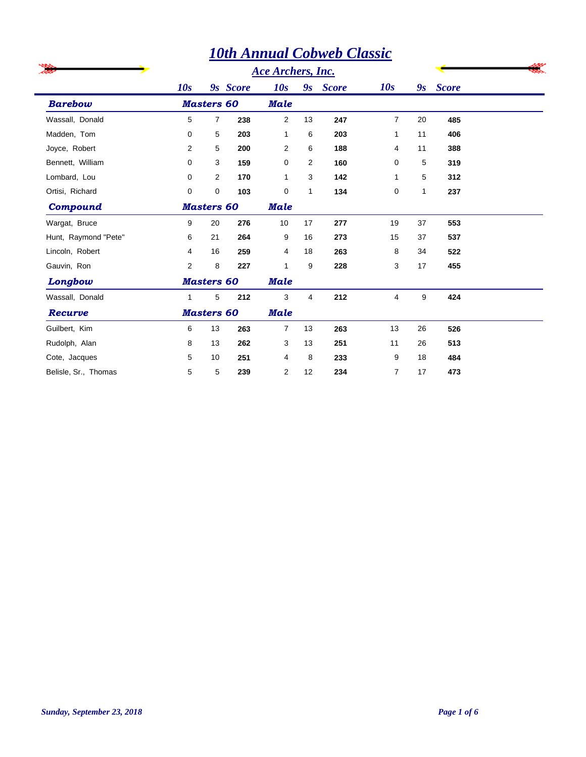## *10th Annual Cobweb Classic*

|                      |                |                   |          | <b>Ace Archers, Inc.</b> |              |              |                |    |              |  |
|----------------------|----------------|-------------------|----------|--------------------------|--------------|--------------|----------------|----|--------------|--|
|                      | 10s            |                   | 9s Score | 10s                      | 9s           | <b>Score</b> | 10s            | 9s | <b>Score</b> |  |
| <b>Barebow</b>       |                | <b>Masters 60</b> |          | <b>Male</b>              |              |              |                |    |              |  |
| Wassall, Donald      | 5              | $\overline{7}$    | 238      | 2                        | 13           | 247          | $\overline{7}$ | 20 | 485          |  |
| Madden, Tom          | 0              | 5                 | 203      | $\mathbf{1}$             | 6            | 203          | 1              | 11 | 406          |  |
| Joyce, Robert        | 2              | 5                 | 200      | 2                        | 6            | 188          | 4              | 11 | 388          |  |
| Bennett, William     | $\mathbf 0$    | 3                 | 159      | 0                        | 2            | 160          | 0              | 5  | 319          |  |
| Lombard, Lou         | 0              | $\overline{2}$    | 170      | 1                        | 3            | 142          | 1              | 5  | 312          |  |
| Ortisi, Richard      | $\Omega$       | $\mathbf 0$       | 103      | 0                        | $\mathbf{1}$ | 134          | 0              | 1  | 237          |  |
| Compound             |                | <b>Masters 60</b> |          | <b>Male</b>              |              |              |                |    |              |  |
| Wargat, Bruce        | 9              | 20                | 276      | 10                       | 17           | 277          | 19             | 37 | 553          |  |
| Hunt, Raymond "Pete" | 6              | 21                | 264      | 9                        | 16           | 273          | 15             | 37 | 537          |  |
| Lincoln, Robert      | 4              | 16                | 259      | 4                        | 18           | 263          | 8              | 34 | 522          |  |
| Gauvin, Ron          | $\overline{2}$ | 8                 | 227      | 1                        | 9            | 228          | 3              | 17 | 455          |  |
| Longbow              |                | <b>Masters 60</b> |          | <b>Male</b>              |              |              |                |    |              |  |
| Wassall, Donald      | $\mathbf{1}$   | 5                 | 212      | 3                        | 4            | 212          | 4              | 9  | 424          |  |
| Recurve              |                | <b>Masters 60</b> |          | <b>Male</b>              |              |              |                |    |              |  |
| Guilbert, Kim        | 6              | 13                | 263      | $\overline{7}$           | 13           | 263          | 13             | 26 | 526          |  |
| Rudolph, Alan        | 8              | 13                | 262      | 3                        | 13           | 251          | 11             | 26 | 513          |  |
| Cote, Jacques        | 5              | 10                | 251      | 4                        | 8            | 233          | 9              | 18 | 484          |  |
| Belisle, Sr., Thomas | 5              | 5                 | 239      | 2                        | 12           | 234          | 7              | 17 | 473          |  |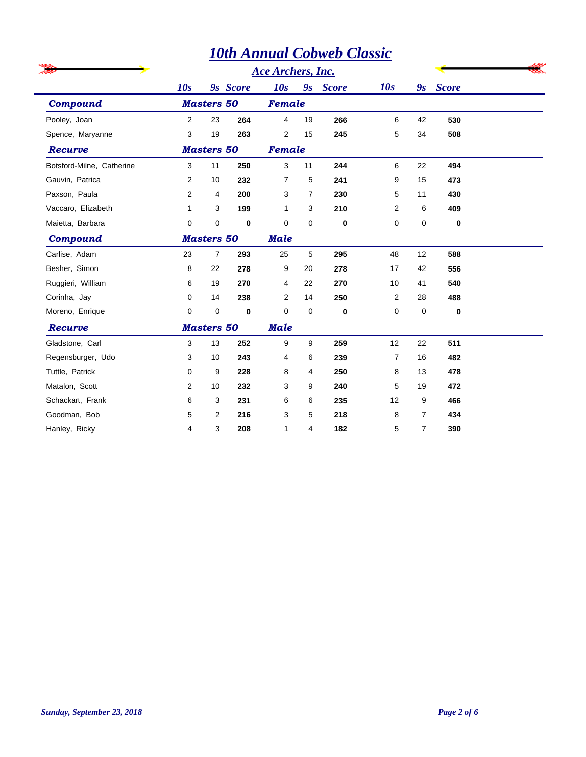|                           |                |                   |             |                   |                | <b>10th Annual Cobweb Classic</b> |                |                |          |  |
|---------------------------|----------------|-------------------|-------------|-------------------|----------------|-----------------------------------|----------------|----------------|----------|--|
|                           |                |                   |             | Ace Archers, Inc. |                |                                   |                |                |          |  |
|                           | 10s            |                   | 9s Score    | 10s               | 9s             | <b>Score</b>                      | 10s            |                | 9s Score |  |
| <b>Compound</b>           |                | <b>Masters 50</b> |             |                   | Female         |                                   |                |                |          |  |
| Pooley, Joan              | 2              | 23                | 264         | 4                 | 19             | 266                               | 6              | 42             | 530      |  |
| Spence, Maryanne          | 3              | 19                | 263         | $\overline{2}$    | 15             | 245                               | 5              | 34             | 508      |  |
| Recurve                   |                | <b>Masters 50</b> |             | Female            |                |                                   |                |                |          |  |
| Botsford-Milne, Catherine | 3              | 11                | 250         | 3                 | 11             | 244                               | 6              | 22             | 494      |  |
| Gauvin, Patrica           | 2              | 10                | 232         | $\overline{7}$    | 5              | 241                               | 9              | 15             | 473      |  |
| Paxson, Paula             | 2              | 4                 | 200         | 3                 | $\overline{7}$ | 230                               | 5              | 11             | 430      |  |
| Vaccaro, Elizabeth        | $\mathbf{1}$   | 3                 | 199         | $\mathbf{1}$      | 3              | 210                               | 2              | 6              | 409      |  |
| Maietta, Barbara          | 0              | 0                 | $\bf{0}$    | $\mathbf 0$       | $\mathbf 0$    | 0                                 | 0              | 0              | $\bf{0}$ |  |
| Compound                  |                | <b>Masters 50</b> |             | <b>Male</b>       |                |                                   |                |                |          |  |
| Carlise, Adam             | 23             | $\overline{7}$    | 293         | 25                | 5              | 295                               | 48             | 12             | 588      |  |
| Besher, Simon             | 8              | 22                | 278         | 9                 | 20             | 278                               | 17             | 42             | 556      |  |
| Ruggieri, William         | 6              | 19                | 270         | 4                 | 22             | 270                               | 10             | 41             | 540      |  |
| Corinha, Jay              | 0              | 14                | 238         | $\overline{2}$    | 14             | 250                               | 2              | 28             | 488      |  |
| Moreno, Enrique           | 0              | 0                 | $\mathbf 0$ | $\mathbf 0$       | $\mathbf 0$    | $\mathbf 0$                       | 0              | 0              | $\bf{0}$ |  |
| Recurve                   |                | <b>Masters 50</b> |             | <b>Male</b>       |                |                                   |                |                |          |  |
| Gladstone, Carl           | 3              | 13                | 252         | 9                 | 9              | 259                               | 12             | 22             | 511      |  |
| Regensburger, Udo         | 3              | 10                | 243         | 4                 | 6              | 239                               | $\overline{7}$ | 16             | 482      |  |
| Tuttle, Patrick           | $\mathbf 0$    | 9                 | 228         | 8                 | 4              | 250                               | 8              | 13             | 478      |  |
| Matalon, Scott            | $\overline{2}$ | 10                | 232         | 3                 | 9              | 240                               | 5              | 19             | 472      |  |
| Schackart, Frank          | 6              | 3                 | 231         | 6                 | 6              | 235                               | 12             | 9              | 466      |  |
| Goodman, Bob              | 5              | $\overline{2}$    | 216         | 3                 | 5              | 218                               | 8              | $\overline{7}$ | 434      |  |
| Hanley, Ricky             | 4              | 3                 | 208         | $\mathbf{1}$      | 4              | 182                               | 5              | 7              | 390      |  |
|                           |                |                   |             |                   |                |                                   |                |                |          |  |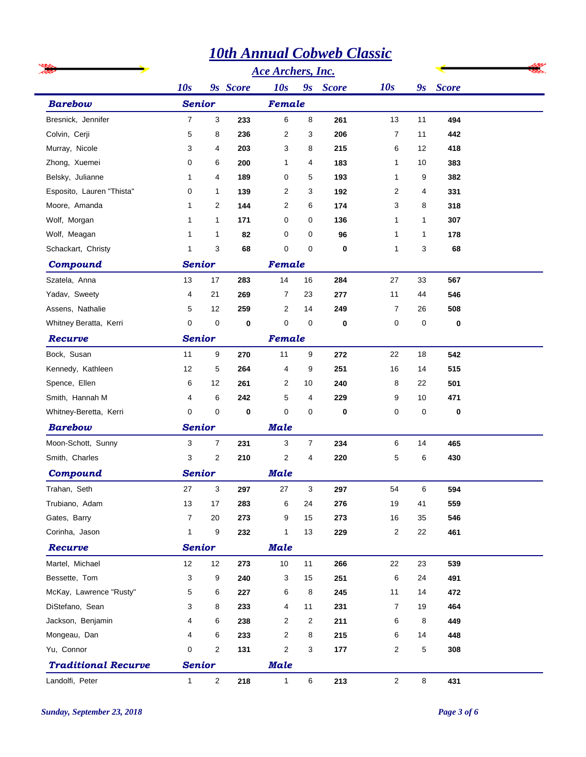|                            |                          |                |          |              |                         | <b>10th Annual Cobweb Classic</b> |                |              |          |  |
|----------------------------|--------------------------|----------------|----------|--------------|-------------------------|-----------------------------------|----------------|--------------|----------|--|
|                            | <b>Ace Archers, Inc.</b> |                |          |              |                         |                                   |                |              |          |  |
|                            | 10s                      |                | 9s Score | 10s          |                         | 9s Score                          | 10s            |              | 9s Score |  |
| <b>Barebow</b>             | <b>Senior</b>            |                |          | Female       |                         |                                   |                |              |          |  |
| Bresnick, Jennifer         | $\overline{7}$           | 3              | 233      | 6            | 8                       | 261                               | 13             | 11           | 494      |  |
| Colvin, Cerji              | 5                        | 8              | 236      | 2            | 3                       | 206                               | 7              | 11           | 442      |  |
| Murray, Nicole             | 3                        | 4              | 203      | 3            | 8                       | 215                               | 6              | 12           | 418      |  |
| Zhong, Xuemei              | 0                        | 6              | 200      | 1            | 4                       | 183                               | $\mathbf{1}$   | 10           | 383      |  |
| Belsky, Julianne           | 1                        | 4              | 189      | 0            | 5                       | 193                               | $\mathbf 1$    | 9            | 382      |  |
| Esposito, Lauren "Thista"  | 0                        | 1              | 139      | 2            | 3                       | 192                               | 2              | 4            | 331      |  |
| Moore, Amanda              | 1                        | 2              | 144      | 2            | 6                       | 174                               | 3              | 8            | 318      |  |
| Wolf, Morgan               | 1                        | 1              | 171      | 0            | 0                       | 136                               | 1              | $\mathbf{1}$ | 307      |  |
| Wolf, Meagan               | 1                        | 1              | 82       | 0            | 0                       | 96                                | 1              | $\mathbf{1}$ | 178      |  |
| Schackart, Christy         | 1                        | 3              | 68       | 0            | 0                       | 0                                 | 1              | 3            | 68       |  |
| Compound                   | <b>Senior</b>            |                |          | Female       |                         |                                   |                |              |          |  |
| Szatela, Anna              | 13                       | 17             | 283      | 14           | 16                      | 284                               | 27             | 33           | 567      |  |
| Yadav, Sweety              | 4                        | 21             | 269      | 7            | 23                      | 277                               | 11             | 44           | 546      |  |
| Assens, Nathalie           | 5                        | 12             | 259      | 2            | 14                      | 249                               | $\overline{7}$ | 26           | 508      |  |
| Whitney Beratta, Kerri     | 0                        | 0              | 0        | 0            | 0                       | 0                                 | 0              | $\pmb{0}$    | $\bf{0}$ |  |
| Recurve                    |                          | <b>Senior</b>  |          | Female       |                         |                                   |                |              |          |  |
| Bock, Susan                | 11                       | 9              | 270      | 11           | 9                       | 272                               | 22             | 18           | 542      |  |
| Kennedy, Kathleen          | 12                       | 5              | 264      | 4            | 9                       | 251                               | 16             | 14           | 515      |  |
| Spence, Ellen              | 6                        | 12             | 261      | 2            | 10                      | 240                               | 8              | 22           | 501      |  |
| Smith, Hannah M            | 4                        | 6              | 242      | 5            | 4                       | 229                               | 9              | 10           | 471      |  |
| Whitney-Beretta, Kerri     | 0                        | 0              | 0        | 0            | 0                       | 0                                 | 0              | 0            | 0        |  |
| <b>Barebow</b>             | <b>Senior</b>            |                |          | <b>Male</b>  |                         |                                   |                |              |          |  |
| Moon-Schott, Sunny         | 3                        | $\overline{7}$ | 231      | 3            | $\overline{7}$          | 234                               | 6              | 14           | 465      |  |
| Smith, Charles             | 3                        | 2              | 210      | 2            | 4                       | 220                               | 5              | 6            | 430      |  |
| Compound                   | <b>Senior</b>            |                |          | <b>Male</b>  |                         |                                   |                |              |          |  |
| Trahan, Seth               | 27                       | 3              | 297      | 27           | 3                       | 297                               | 54             | 6            | 594      |  |
| Trubiano, Adam             | 13                       | 17             | 283      | 6            | 24                      | 276                               | 19             | 41           | 559      |  |
| Gates, Barry               | 7                        | 20             | 273      | 9            | 15                      | 273                               | 16             | 35           | 546      |  |
| Corinha, Jason             | $\mathbf{1}$             | 9              | 232      | 1            | 13                      | 229                               | $\overline{2}$ | 22           | 461      |  |
| Recurve                    | <b>Senior</b>            |                |          | <b>Male</b>  |                         |                                   |                |              |          |  |
| Martel, Michael            | 12                       | 12             | 273      | 10           | $11$                    | 266                               | 22             | 23           | 539      |  |
| Bessette, Tom              | 3                        | 9              | 240      | 3            | 15                      | 251                               | 6              | 24           | 491      |  |
| McKay, Lawrence "Rusty"    | 5                        | 6              | 227      | 6            | 8                       | 245                               | 11             | 14           | 472      |  |
| DiStefano, Sean            | 3                        | 8              | 233      | 4            | 11                      | 231                               | $\overline{7}$ | 19           | 464      |  |
| Jackson, Benjamin          | 4                        | 6              | 238      | 2            | $\overline{\mathbf{c}}$ | 211                               | 6              | 8            | 449      |  |
| Mongeau, Dan               | 4                        | 6              | 233      | 2            | 8                       | 215                               | 6              | 14           | 448      |  |
| Yu, Connor                 | 0                        | 2              | 131      | 2            | 3                       | 177                               | $\overline{2}$ | 5            | 308      |  |
| <b>Traditional Recurve</b> | <b>Senior</b>            |                |          | <b>Male</b>  |                         |                                   |                |              |          |  |
| Landolfi, Peter            | $\mathbf{1}$             | $\overline{2}$ | 218      | $\mathbf{1}$ | 6                       | 213                               | $\overline{2}$ | $\bf 8$      | 431      |  |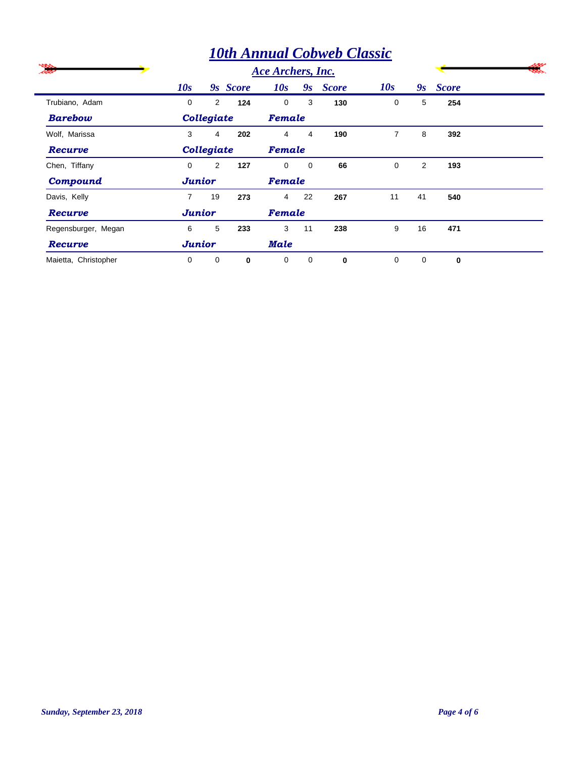|                      |                |            |                   |                |                | <b>10th Annual Cobweb Classic</b> |          |                |              |  |
|----------------------|----------------|------------|-------------------|----------------|----------------|-----------------------------------|----------|----------------|--------------|--|
| -22                  |                |            | Ace Archers, Inc. |                |                |                                   |          |                |              |  |
|                      | 10s            |            | 9s Score          | 10s            | 9s             | <b>Score</b>                      | 10s      | 9s             | <b>Score</b> |  |
| Trubiano, Adam       | $\Omega$       | 2          | 124               | $\Omega$       | 3              | 130                               | 0        | 5              | 254          |  |
| <b>Barebow</b>       |                | Collegiate |                   | Female         |                |                                   |          |                |              |  |
| Wolf, Marissa        | 3              | 4          | 202               | $\overline{4}$ | $\overline{4}$ | 190                               | 7        | 8              | 392          |  |
| Recurve              |                | Collegiate |                   | Female         |                |                                   |          |                |              |  |
| Chen, Tiffany        | $\Omega$       | 2          | 127               | $\Omega$       | $\mathbf 0$    | 66                                | $\Omega$ | $\overline{2}$ | 193          |  |
| Compound             | <b>Junior</b>  |            |                   | Female         |                |                                   |          |                |              |  |
| Davis, Kelly         | $\overline{7}$ | 19         | 273               | $\overline{4}$ | 22             | 267                               | 11       | 41             | 540          |  |
| Recurve              | <b>Junior</b>  |            |                   | Female         |                |                                   |          |                |              |  |
| Regensburger, Megan  | 6              | 5          | 233               | 3              | 11             | 238                               | 9        | 16             | 471          |  |
| Recurve              | <b>Junior</b>  |            |                   | Male           |                |                                   |          |                |              |  |
| Maietta, Christopher | $\Omega$       | 0          | 0                 | 0              | $\mathbf 0$    | $\bf{0}$                          | $\Omega$ | $\mathbf 0$    | $\bf{0}$     |  |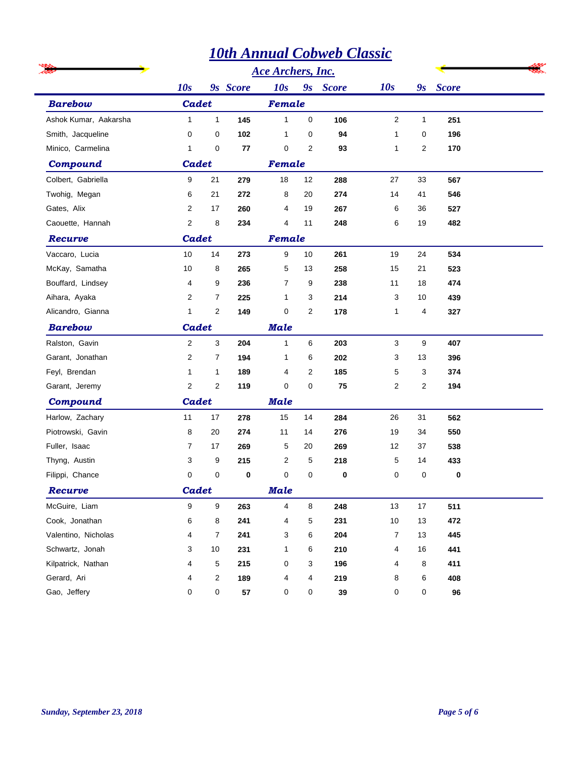|                       |              |                |            |                          |                | <b>10th Annual Cobweb Classic</b> |                         |                |          |  |
|-----------------------|--------------|----------------|------------|--------------------------|----------------|-----------------------------------|-------------------------|----------------|----------|--|
|                       |              |                |            | <b>Ace Archers, Inc.</b> |                |                                   |                         |                |          |  |
|                       | 10s          |                | 9s Score   | 10s                      |                | 9s Score                          | 10s                     |                | 9s Score |  |
| <b>Barebow</b>        | Cadet        |                |            |                          | Female         |                                   |                         |                |          |  |
| Ashok Kumar, Aakarsha | $\mathbf{1}$ | $\mathbf{1}$   | 145        | $\mathbf{1}$             | 0              | 106                               | $\overline{\mathbf{c}}$ | $\mathbf{1}$   | 251      |  |
| Smith, Jacqueline     | 0            | 0              | 102        | 1                        | 0              | 94                                | 1                       | 0              | 196      |  |
| Minico, Carmelina     | 1            | $\mathbf 0$    | 77         | $\mathbf 0$              | 2              | 93                                | 1                       | $\overline{2}$ | 170      |  |
| Compound              | Cadet        |                |            | Female                   |                |                                   |                         |                |          |  |
| Colbert, Gabriella    | 9            | 21             | 279        | 18                       | 12             | 288                               | 27                      | 33             | 567      |  |
| Twohig, Megan         | 6            | 21             | 272        | 8                        | 20             | 274                               | 14                      | 41             | 546      |  |
| Gates, Alix           | 2            | 17             | 260        | 4                        | 19             | 267                               | 6                       | 36             | 527      |  |
| Caouette, Hannah      | 2            | 8              | 234        | 4                        | 11             | 248                               | 6                       | 19             | 482      |  |
| Recurve               | Cadet        |                |            | Female                   |                |                                   |                         |                |          |  |
| Vaccaro, Lucia        | 10           | 14             | 273        | 9                        | 10             | 261                               | 19                      | 24             | 534      |  |
| McKay, Samatha        | 10           | 8              | 265        | 5                        | 13             | 258                               | 15                      | 21             | 523      |  |
| Bouffard, Lindsey     | 4            | 9              | 236        | 7                        | 9              | 238                               | 11                      | 18             | 474      |  |
| Aihara, Ayaka         | 2            | 7              | 225        | 1                        | 3              | 214                               | 3                       | 10             | 439      |  |
| Alicandro, Gianna     | 1            | 2              | 149        | 0                        | $\overline{c}$ | 178                               | 1                       | 4              | 327      |  |
| <b>Barebow</b>        | <b>Cadet</b> |                |            | <b>Male</b>              |                |                                   |                         |                |          |  |
| Ralston, Gavin        | 2            | 3              | 204        | 1                        | 6              | 203                               | 3                       | 9              | 407      |  |
| Garant, Jonathan      | 2            | $\overline{7}$ | 194        | 1                        | 6              | 202                               | 3                       | 13             | 396      |  |
| Feyl, Brendan         | 1            | $\mathbf{1}$   | 189        | 4                        | $\overline{2}$ | 185                               | 5                       | 3              | 374      |  |
| Garant, Jeremy        | 2            | 2              | 119        | 0                        | 0              | 75                                | 2                       | 2              | 194      |  |
| <b>Compound</b>       | Cadet        |                |            | <b>Male</b>              |                |                                   |                         |                |          |  |
| Harlow, Zachary       | 11           | 17             | 278        | 15                       | 14             | 284                               | 26                      | 31             | 562      |  |
| Piotrowski, Gavin     | 8            | 20             | 274        | 11                       | 14             | 276                               | 19                      | 34             | 550      |  |
| Fuller, Isaac         | 7            | 17             | 269        | 5                        | 20             | 269                               | 12                      | 37             | 538      |  |
| Thyng, Austin         | 3            | 9              | 215        | $\overline{c}$           | 5              | 218                               | 5                       | 14             | 433      |  |
| Filippi, Chance       | 0            | 0              | $\bf{0}$   | 0                        | 0              | $\bf{0}$                          | 0                       | 0              | $\Omega$ |  |
| Recurve               | Cadet        |                |            | <b>Male</b>              |                |                                   |                         |                |          |  |
| McGuire, Liam         | 9            | 9              | 263        | 4                        | 8              | 248                               | 13                      | $17\,$         | 511      |  |
| Cook, Jonathan        | 6            | 8              | 241        | 4                        | 5              | 231                               | 10                      | 13             | 472      |  |
| Valentino, Nicholas   | 4            | 7              | 241        | 3                        | 6              | 204                               | 7                       | 13             | 445      |  |
| Schwartz, Jonah       | 3            | 10             | 231        | 1                        | 6              | 210                               | 4                       | 16             | 441      |  |
| Kilpatrick, Nathan    | 4            | 5              | 215        | 0                        | 3              | 196                               | 4                       | 8              | 411      |  |
| Gerard, Ari           | 4            | $\overline{2}$ | 189        | 4                        | 4              | 219                               | 8                       | 6              | 408      |  |
| Gao, Jeffery          | 0            | 0              | ${\bf 57}$ | $\pmb{0}$                | 0              | $39\,$                            | 0                       | 0              | 96       |  |